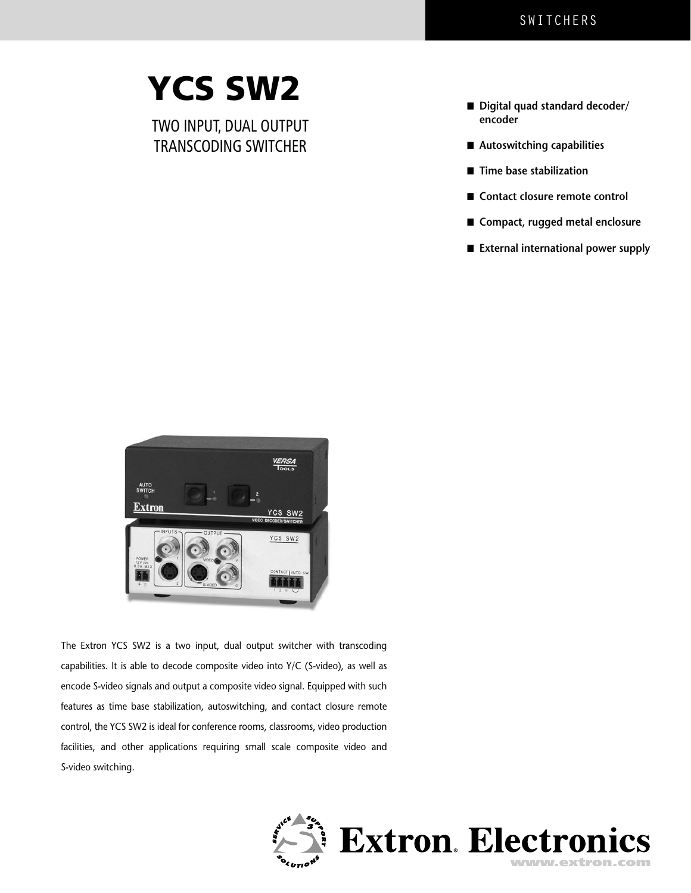# YCS SW2

 TWO INPUT, DUAL OUTPUT TRANSCODING SWITCHER

- Digital quad standard decoder/ **encoder**
- Autoswitching capabilities
- **Time base stabilization**
- Contact closure remote control
- Compact, rugged metal enclosure
- **External international power supply**



The Extron YCS SW2 is a two input, dual output switcher with transcoding capabilities. It is able to decode composite video into Y/C (S-video), as well as encode S-video signals and output a composite video signal. Equipped with such features as time base stabilization, autoswitching, and contact closure remote control, the YCS SW2 is ideal for conference rooms, classrooms, video production facilities, and other applications requiring small scale composite video and S-video switching.